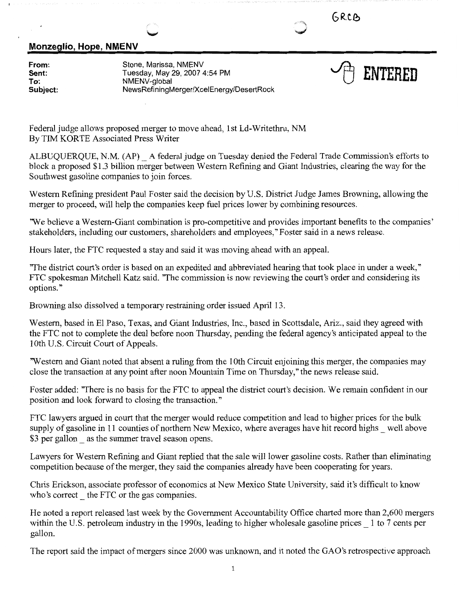**GR.c.e,** 

## **Monzeglio, Hope, NMENV**

**From: Sent: To: Subject:**  Stone, Marissa, NMENV Tuesday, May 29, 2007 4:54 PM NMENV-global NewsRefiningMerger/XcelEnergy/DesertRock



Federal judge allows proposed merger to move ahead, 1st Ld-Writethru, NM By TIM KORTE Associated Press Writer

ALBUQUERQUE, N.M. (AP)\_ A federal judge on Tuesday denied the Federal Trade Commission's efforts to block a proposed \$1.3 billion merger between Western Refining and Giant Industries, clearing the way for the Southwest gasoline companies to join forces.

Western Refining president Paul Foster said the decision by U.S. District Judge James Browning, allowing the merger to proceed, will help the companies keep fuel prices lower by combining resources.

'We believe a Western-Giant combination is pro-competitive and provides important benefits to the companies' stakeholders, including our customers, shareholders and employees," Foster said in a news release.

Hours later, the FTC requested a stay and said it was moving ahead with an appeal.

"The district court's order is based on an expedited and abbreviated hearing that took place in under a week," FTC spokesman Mitchell Katz said. "The commission is now reviewing the court's order and considering its options."

Browning also dissolved a temporary restraining order issued April 13.

Western, based in El Paso, Texas, and Giant Industries, Inc., based in Scottsdale, Ariz., said they agreed with the FTC not to complete the deal before noon Thursday, pending the federal agency's anticipated appeal to the 10th U.S. Circuit Court of Appeals.

'Western and Giant noted that absent a ruling from the 10th Circuit enjoining this merger, the companies may close the transaction at any point after noon Mountain Time on Thursday," the news release said.

Foster added: "There is no basis for the FTC to appeal the district court's decision. We remain confident in our position and look forward to closing the transaction."

FTC lawyers argued in court that the merger would reduce competition and lead to higher prices for the bulk supply of gasoline in 11 counties of northern New Mexico, where averages have hit record highs well above \$3 per gallon as the summer travel season opens.

Lawyers for Western Refining and Giant replied that the sale will lower gasoline costs. Rather than eliminating competition because of the merger, they said the companies already have been cooperating for years.

Chris Erickson, associate professor of economics at New Mexico State University, said it's difficult to know who's correct the FTC or the gas companies.

He noted a report released last week by the Government Accountability Office charted more than 2,600 mergers within the U.S. petroleum industry in the 1990s, leading to higher wholesale gasoline prices 1 to 7 cents per gallon.

The report said the impact of mergers since 2000 was unknown, and it noted the GAO's retrospective approach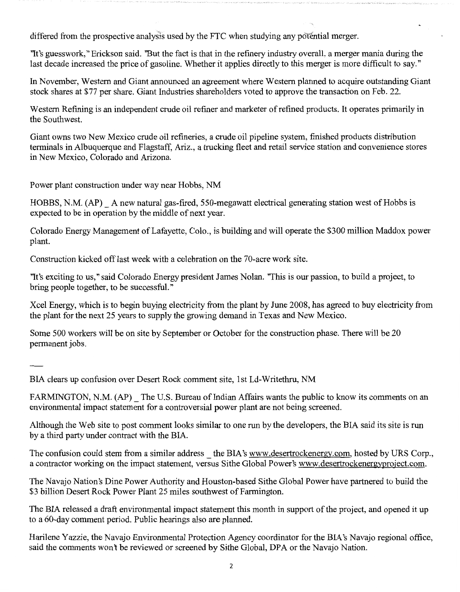differed from the prospective analysis used by the FTC when studying any po'fential merger.

''It's guesswork," Erickson said. "But the fact is that in the refinery industry overall, a merger mania during the last decade increased the price of gasoline. Whether it applies directly to this merger is more difficult to say."

In November, Western and Giant announced an agreement where Western planned to acquire outstanding Giant stock shares at \$77 per share. Giant Industries shareholders voted to approve the transaction on Feb. 22.

Western Refining is an independent crude oil refiner and marketer of refined products. It operates primarily in the Southwest.

Giant owns two New Mexico crude oil refineries, a crude oil pipeline system, finished products distribution terminals in Albuquerque and Flagstaff, Ariz., a trucking fleet and retail service station and convenience stores in New Mexico, Colorado and Arizona.

Power plant construction under way near Hobbs, NM

HOBBS, N.M. (AP)\_ A new natural gas-fired, 550-megawatt electrical generating station west of Hobbs is expected to be in operation by the middle of next year.

Colorado Energy Management of Lafayette, Colo., is building and will operate the \$300 million Maddox power plant.

Construction kicked off last week with a celebration on the 70-acre work site.

"It's exciting to us," said Colorado Energy president James Nolan. 'This is our passion, to build a project, to bring people together, to be successful."

Xcel Energy, which is to begin buying electricity from the plant by June 2008, has agreed to buy electricity from the plant for the next 25 years to supply the growing demand in Texas and New Mexico.

Some 500 workers will be on site by September or October for the construction phase. There will be 20 permanent jobs.

BIA clears up confusion over Desert Rock comment site, 1st Ld-Writethru, NM

FARMINGTON, N.M. (AP) The U.S. Bureau of Indian Affairs wants the public to know its comments on an environmental impact statement for a controversial power plant are not being screened.

Although the Web site to post comment looks similar to one run by the developers, the BIA said its site is run by a third party under contract with the BIA.

The confusion could stem from a similar address the BIA's www.desertrockenergy.com, hosted by URS Corp., a contractor working on the impact statement, versus Sithe Global Power's www.desertrockenergyproject.com.

The Navajo Nation's Dine Power Authority and Houston-based Sithe Global Power have partnered to build the \$3 billion Desert Rock Power Plant 25 miles southwest of Farmington.

The BIA released a draft environmental impact statement this month in support of the project, and opened it up to a 60-day comment period. Public hearings also are planned.

Harilene Yazzie, the Navajo Environmental Protection Agency coordinator for the BIA's Navajo regional office, said the comments won't be reviewed or screened by Sithe Global, DPA or the Navajo Nation.